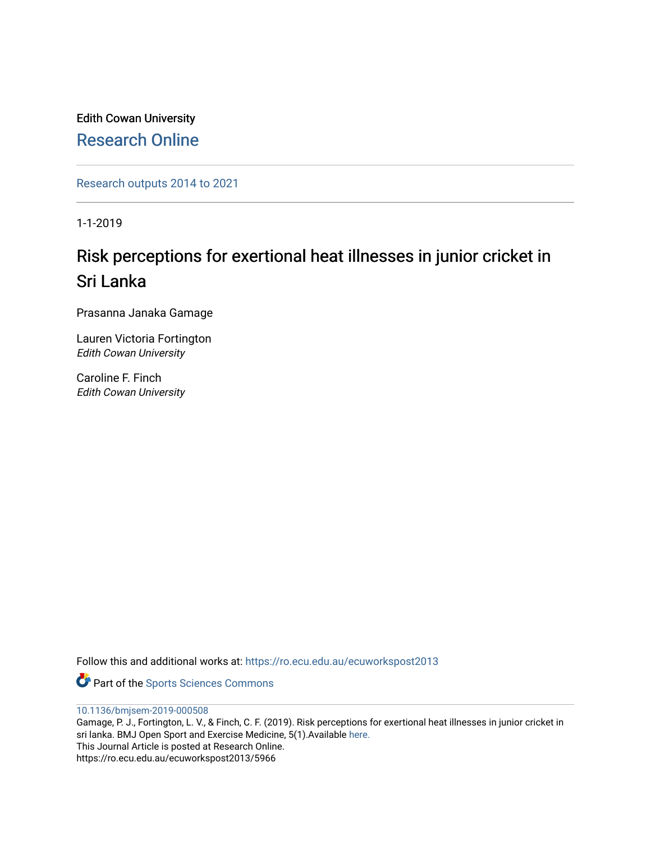Edith Cowan University [Research Online](https://ro.ecu.edu.au/) 

[Research outputs 2014 to 2021](https://ro.ecu.edu.au/ecuworkspost2013) 

1-1-2019

# Risk perceptions for exertional heat illnesses in junior cricket in Sri Lanka

Prasanna Janaka Gamage

Lauren Victoria Fortington Edith Cowan University

Caroline F. Finch Edith Cowan University

Follow this and additional works at: [https://ro.ecu.edu.au/ecuworkspost2013](https://ro.ecu.edu.au/ecuworkspost2013?utm_source=ro.ecu.edu.au%2Fecuworkspost2013%2F5966&utm_medium=PDF&utm_campaign=PDFCoverPages) 

Part of the [Sports Sciences Commons](http://network.bepress.com/hgg/discipline/759?utm_source=ro.ecu.edu.au%2Fecuworkspost2013%2F5966&utm_medium=PDF&utm_campaign=PDFCoverPages) 

[10.1136/bmjsem-2019-000508](http://dx.doi.org/10.1136/bmjsem-2019-000508)

Gamage, P. J., Fortington, L. V., & Finch, C. F. (2019). Risk perceptions for exertional heat illnesses in junior cricket in sri lanka. BMJ Open Sport and Exercise Medicine, 5(1).Available [here.](https://doi.org/10.1136/bmjsem-2019-000508) This Journal Article is posted at Research Online. https://ro.ecu.edu.au/ecuworkspost2013/5966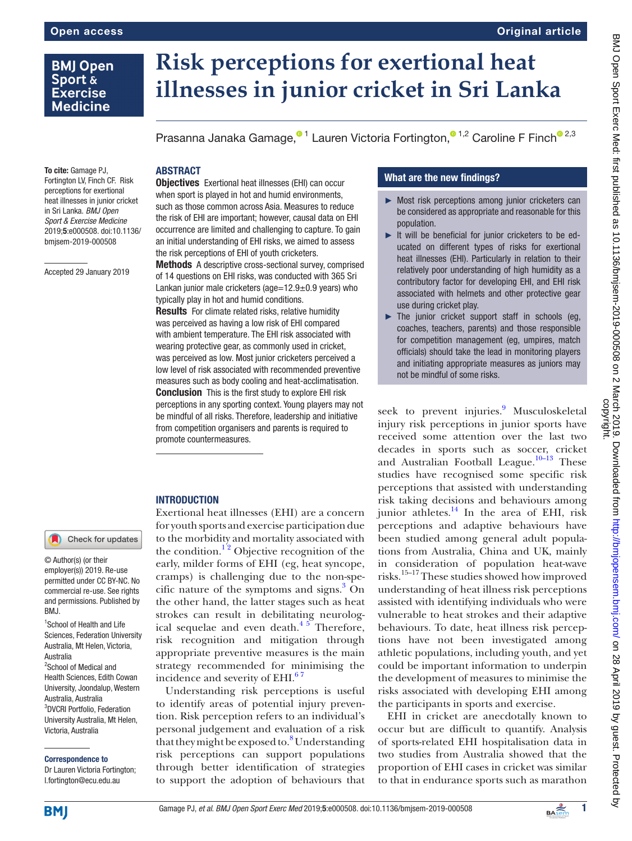# **BMJ Open** Sport & **Exercise Medicine**

# **Risk perceptions for exertional heat illnesses in junior cricket in Sri Lanka**

Prasanna Janaka Gamage[,](http://orcid.org/0000-0003-2760-9249)<sup>01</sup> Lauren Victoria Fortington,<sup>01,2</sup> Caroline F Finc[h](http://orcid.org/0000-0003-1711-1930)<sup>02,3</sup>

#### **ABSTRACT** Objectives Exertional heat illnesses (EHI) can occur

when sport is played in hot and humid environments, such as those common across Asia. Measures to reduce the risk of EHI are important; however, causal data on EHI occurrence are limited and challenging to capture. To gain an initial understanding of EHI risks, we aimed to assess

**Methods** A descriptive cross-sectional survey, comprised of 14 questions on EHI risks, was conducted with 365 Sri Lankan junior male cricketers (age= $12.9\pm0.9$  years) who

the risk perceptions of EHI of youth cricketers.

typically play in hot and humid conditions.

**Results** For climate related risks, relative humidity was perceived as having a low risk of EHI compared with ambient temperature. The EHI risk associated with wearing protective gear, as commonly used in cricket, was perceived as low. Most junior cricketers perceived a low level of risk associated with recommended preventive measures such as body cooling and heat-acclimatisation. **Conclusion** This is the first study to explore EHI risk perceptions in any sporting context. Young players may not be mindful of all risks. Therefore, leadership and initiative from competition organisers and parents is required to

To cite: Gamage PJ, Fortington LV, Finch CF. Risk perceptions for exertional heat illnesses in junior cricket in Sri Lanka. *BMJ Open Sport & Exercise Medicine* 2019;5:e000508. doi:10.1136/ bmjsem-2019-000508

Accepted 29 January 2019

## **INTRODUCTION**

promote countermeasures.

Exertional heat illnesses (EHI) are a concern for youth sports and exercise participation due to the morbidity and mortality associated with the condition.<sup>12</sup> Objective recognition of the early, milder forms of EHI (eg, heat syncope, cramps) is challenging due to the non-spe-cific nature of the symptoms and signs.<sup>[3](#page-6-1)</sup> On the other hand, the latter stages such as heat strokes can result in debilitating neurological sequelae and even death. $45$  Therefore, risk recognition and mitigation through appropriate preventive measures is the main strategy recommended for minimising the incidence and severity of EHI.<sup>67</sup>

Understanding risk perceptions is useful to identify areas of potential injury prevention. Risk perception refers to an individual's personal judgement and evaluation of a risk that they might be exposed to.<sup>8</sup> Understanding risk perceptions can support populations through better identification of strategies to support the adoption of behaviours that

# What are the new findings?

- ► Most risk perceptions among junior cricketers can be considered as appropriate and reasonable for this population.
- ► It will be beneficial for junior cricketers to be educated on different types of risks for exertional heat illnesses (EHI). Particularly in relation to their relatively poor understanding of high humidity as a contributory factor for developing EHI, and EHI risk associated with helmets and other protective gear use during cricket play.
- $\blacktriangleright$  The junior cricket support staff in schools (eq. coaches, teachers, parents) and those responsible for competition management (eg, umpires, match officials) should take the lead in monitoring players and initiating appropriate measures as juniors may not be mindful of some risks.

seek to prevent injuries.<sup>9</sup> Musculoskeletal injury risk perceptions in junior sports have received some attention over the last two decades in sports such as soccer, cricket and Australian Football League.<sup>10–13</sup> These studies have recognised some specific risk perceptions that assisted with understanding risk taking decisions and behaviours among junior athletes. $14$  In the area of EHI, risk perceptions and adaptive behaviours have been studied among general adult populations from Australia, China and UK, mainly in consideration of population heat-wave risks.[15–17](#page-6-8) These studies showed how improved understanding of heat illness risk perceptions assisted with identifying individuals who were vulnerable to heat strokes and their adaptive behaviours. To date, heat illness risk perceptions have not been investigated among athletic populations, including youth, and yet could be important information to underpin the development of measures to minimise the risks associated with developing EHI among the participants in sports and exercise.

EHI in cricket are anecdotally known to occur but are difficult to quantify. Analysis of sports-related EHI hospitalisation data in two studies from Australia showed that the proportion of EHI cases in cricket was similar to that in endurance sports such as marathon

# Check for updates

© Author(s) (or their employer(s)) 2019. Re-use permitted under CC BY-NC. No commercial re-use. See rights and permissions. Published by BMJ.

<sup>1</sup>School of Health and Life Sciences, Federation University Australia, Mt Helen, Victoria, Australia <sup>2</sup>School of Medical and Health Sciences, Edith Cowan University, Joondalup, Western Australia, Australia 3 DVCRI Portfolio, Federation University Australia, Mt Helen, Victoria, Australia

Correspondence to

Dr Lauren Victoria Fortington; l.fortington@ecu.edu.au



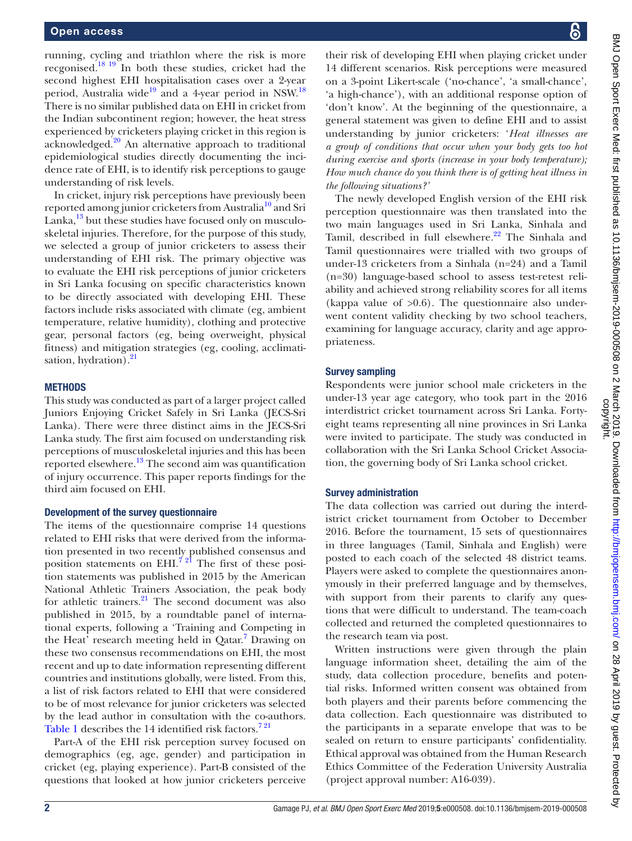running, cycling and triathlon where the risk is more recgonised[.18 19](#page-7-0) In both these studies, cricket had the second highest EHI hospitalisation cases over a 2-year period, Australia wide<sup>[19](#page-7-1)</sup> and a 4-year period in NSW.<sup>18</sup> There is no similar published data on EHI in cricket from the Indian subcontinent region; however, the heat stress experienced by cricketers playing cricket in this region is acknowledged.[20](#page-7-2) An alternative approach to traditional epidemiological studies directly documenting the incidence rate of EHI, is to identify risk perceptions to gauge understanding of risk levels.

In cricket, injury risk perceptions have previously been reported among junior cricketers from Australia<sup>10</sup> and Sri Lanka, $^{13}$  $^{13}$  $^{13}$  but these studies have focused only on musculoskeletal injuries. Therefore, for the purpose of this study, we selected a group of junior cricketers to assess their understanding of EHI risk. The primary objective was to evaluate the EHI risk perceptions of junior cricketers in Sri Lanka focusing on specific characteristics known to be directly associated with developing EHI. These factors include risks associated with climate (eg, ambient temperature, relative humidity), clothing and protective gear, personal factors (eg, being overweight, physical fitness) and mitigation strategies (eg, cooling, acclimati-sation, hydration).<sup>[21](#page-7-3)</sup>

#### **METHODS**

This study was conducted as part of a larger project called Juniors Enjoying Cricket Safely in Sri Lanka (JECS-Sri Lanka). There were three distinct aims in the JECS-Sri Lanka study. The first aim focused on understanding risk perceptions of musculoskeletal injuries and this has been reported elsewhere.<sup>13</sup> The second aim was quantification of injury occurrence. This paper reports findings for the third aim focused on EHI.

#### Development of the survey questionnaire

The items of the questionnaire comprise 14 questions related to EHI risks that were derived from the information presented in two recently published consensus and position statements on  $EHI.<sup>721</sup>$  The first of these position statements was published in 2015 by the American National Athletic Trainers Association, the peak body for athletic trainers. $^{21}$  The second document was also published in 2015, by a roundtable panel of international experts, following a 'Training and Competing in the Heat' research meeting held in Qatar.<sup>[7](#page-6-10)</sup> Drawing on these two consensus recommendations on EHI, the most recent and up to date information representing different countries and institutions globally, were listed. From this, a list of risk factors related to EHI that were considered to be of most relevance for junior cricketers was selected by the lead author in consultation with the co-authors. [Table](#page-3-0) 1 describes the 14 identified risk factors.<sup>721</sup>

Part-A of the EHI risk perception survey focused on demographics (eg, age, gender) and participation in cricket (eg, playing experience). Part-B consisted of the questions that looked at how junior cricketers perceive their risk of developing EHI when playing cricket under 14 different scenarios. Risk perceptions were measured on a 3-point Likert-scale ('no-chance', 'a small-chance', 'a high-chance'), with an additional response option of 'don't know'. At the beginning of the questionnaire, a general statement was given to define EHI and to assist understanding by junior cricketers: '*Heat illnesses are a group of conditions that occur when your body gets too hot during exercise and sports (increase in your body temperature); How much chance do you think there is of getting heat illness in the following situations?'*

The newly developed English version of the EHI risk perception questionnaire was then translated into the two main languages used in Sri Lanka, Sinhala and Tamil, described in full elsewhere.<sup>[22](#page-7-4)</sup> The Sinhala and Tamil questionnaires were trialled with two groups of under-13 cricketers from a Sinhala (n=24) and a Tamil (n=30) language-based school to assess test-retest reliability and achieved strong reliability scores for all items (kappa value of  $>0.6$ ). The questionnaire also underwent content validity checking by two school teachers, examining for language accuracy, clarity and age appropriateness.

#### Survey sampling

Respondents were junior school male cricketers in the under-13 year age category, who took part in the 2016 interdistrict cricket tournament across Sri Lanka. Fortyeight teams representing all nine provinces in Sri Lanka were invited to participate. The study was conducted in collaboration with the Sri Lanka School Cricket Association, the governing body of Sri Lanka school cricket.

#### Survey administration

The data collection was carried out during the interdistrict cricket tournament from October to December 2016. Before the tournament, 15 sets of questionnaires in three languages (Tamil, Sinhala and English) were posted to each coach of the selected 48 district teams. Players were asked to complete the questionnaires anonymously in their preferred language and by themselves, with support from their parents to clarify any questions that were difficult to understand. The team-coach collected and returned the completed questionnaires to the research team via post.

Written instructions were given through the plain language information sheet, detailing the aim of the study, data collection procedure, benefits and potential risks. Informed written consent was obtained from both players and their parents before commencing the data collection. Each questionnaire was distributed to the participants in a separate envelope that was to be sealed on return to ensure participants' confidentiality. Ethical approval was obtained from the Human Research Ethics Committee of the Federation University Australia (project approval number: A16-039).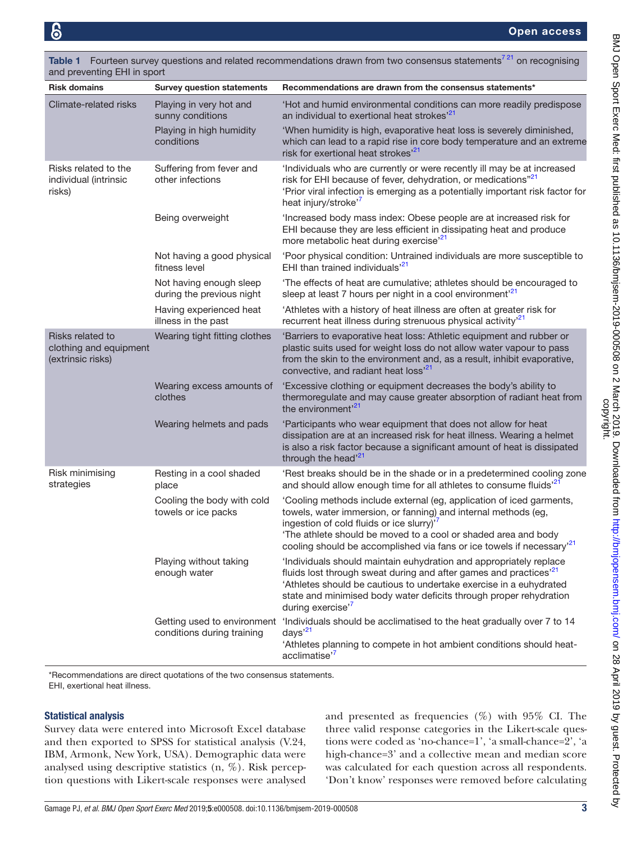| and preventing EHI in sport                                     |                                                           |                                                                                                                                                                                                                                                                                                                                                      |  |  |  |  |  |  |
|-----------------------------------------------------------------|-----------------------------------------------------------|------------------------------------------------------------------------------------------------------------------------------------------------------------------------------------------------------------------------------------------------------------------------------------------------------------------------------------------------------|--|--|--|--|--|--|
| <b>Risk domains</b>                                             | <b>Survey question statements</b>                         | Recommendations are drawn from the consensus statements*                                                                                                                                                                                                                                                                                             |  |  |  |  |  |  |
| Climate-related risks                                           | Playing in very hot and<br>sunny conditions               | 'Hot and humid environmental conditions can more readily predispose<br>an individual to exertional heat strokes' <sup>21</sup>                                                                                                                                                                                                                       |  |  |  |  |  |  |
|                                                                 | Playing in high humidity<br>conditions                    | 'When humidity is high, evaporative heat loss is severely diminished,<br>which can lead to a rapid rise in core body temperature and an extreme<br>risk for exertional heat strokes <sup>21</sup>                                                                                                                                                    |  |  |  |  |  |  |
| Risks related to the<br>individual (intrinsic<br>risks)         | Suffering from fever and<br>other infections              | 'Individuals who are currently or were recently ill may be at increased<br>risk for EHI because of fever, dehydration, or medications" <sup>21</sup><br>'Prior viral infection is emerging as a potentially important risk factor for<br>heat injury/stroke <sup>'7</sup>                                                                            |  |  |  |  |  |  |
|                                                                 | Being overweight                                          | 'Increased body mass index: Obese people are at increased risk for<br>EHI because they are less efficient in dissipating heat and produce<br>more metabolic heat during exercise <sup>'21</sup>                                                                                                                                                      |  |  |  |  |  |  |
|                                                                 | Not having a good physical<br>fitness level               | 'Poor physical condition: Untrained individuals are more susceptible to<br>EHI than trained individuals <sup>'21</sup>                                                                                                                                                                                                                               |  |  |  |  |  |  |
|                                                                 | Not having enough sleep<br>during the previous night      | 'The effects of heat are cumulative; athletes should be encouraged to<br>sleep at least 7 hours per night in a cool environment <sup>21</sup>                                                                                                                                                                                                        |  |  |  |  |  |  |
|                                                                 | Having experienced heat<br>illness in the past            | 'Athletes with a history of heat illness are often at greater risk for<br>recurrent heat illness during strenuous physical activity <sup>121</sup>                                                                                                                                                                                                   |  |  |  |  |  |  |
| Risks related to<br>clothing and equipment<br>(extrinsic risks) | Wearing tight fitting clothes                             | 'Barriers to evaporative heat loss: Athletic equipment and rubber or<br>plastic suits used for weight loss do not allow water vapour to pass<br>from the skin to the environment and, as a result, inhibit evaporative,<br>convective, and radiant heat loss' <sup>21</sup>                                                                          |  |  |  |  |  |  |
|                                                                 | Wearing excess amounts of<br>clothes                      | 'Excessive clothing or equipment decreases the body's ability to<br>thermoregulate and may cause greater absorption of radiant heat from<br>the environment' <sup>21</sup>                                                                                                                                                                           |  |  |  |  |  |  |
|                                                                 | Wearing helmets and pads                                  | 'Participants who wear equipment that does not allow for heat<br>dissipation are at an increased risk for heat illness. Wearing a helmet<br>is also a risk factor because a significant amount of heat is dissipated<br>through the head <sup>21</sup>                                                                                               |  |  |  |  |  |  |
| Risk minimising<br>strategies                                   | Resting in a cool shaded<br>place                         | 'Rest breaks should be in the shade or in a predetermined cooling zone<br>and should allow enough time for all athletes to consume fluids <sup>21</sup>                                                                                                                                                                                              |  |  |  |  |  |  |
|                                                                 | Cooling the body with cold<br>towels or ice packs         | 'Cooling methods include external (eg, application of iced garments,<br>towels, water immersion, or fanning) and internal methods (eg,<br>ingestion of cold fluids or ice slurry) <sup>7</sup><br>'The athlete should be moved to a cool or shaded area and body<br>cooling should be accomplished via fans or ice towels if necessary <sup>21</sup> |  |  |  |  |  |  |
|                                                                 | Playing without taking<br>enough water                    | 'Individuals should maintain euhydration and appropriately replace<br>fluids lost through sweat during and after games and practices <sup>121</sup><br>'Athletes should be cautious to undertake exercise in a euhydrated<br>state and minimised body water deficits through proper rehydration<br>during exercise' <sup>7</sup>                     |  |  |  |  |  |  |
|                                                                 | Getting used to environment<br>conditions during training | 'Individuals should be acclimatised to the heat gradually over 7 to 14<br>days $^{21}$<br>'Athletes planning to compete in hot ambient conditions should heat-<br>acclimatise' <sup>7</sup>                                                                                                                                                          |  |  |  |  |  |  |

<span id="page-3-0"></span>Table 1 Fourteen survey questions and related recommendations drawn from two consensus statements<sup>721</sup> on recognising and preventing EHI in sport

\*Recommendations are direct quotations of the two consensus statements. EHI, exertional heat illness.

### Statistical analysis

Survey data were entered into Microsoft Excel database and then exported to SPSS for statistical analysis (V.24, IBM, Armonk, New York, USA). Demographic data were analysed using descriptive statistics (n, %). Risk perception questions with Likert-scale responses were analysed

and presented as frequencies  $(\%)$  with  $95\%$  CI. The three valid response categories in the Likert-scale questions were coded as 'no-chance=1', 'a small-chance=2', 'a high-chance=3' and a collective mean and median score was calculated for each question across all respondents. 'Don't know' responses were removed before calculating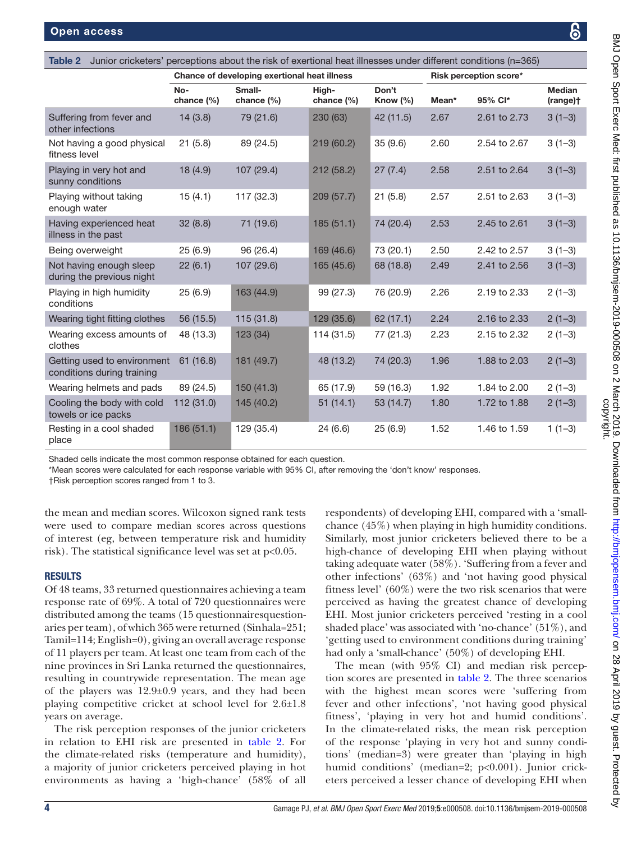<span id="page-4-0"></span>

| Junior cricketers' perceptions about the risk of exertional heat illnesses under different conditions (n=365)<br>Table 2 |                                              |                         |                     |                      |                        |              |                           |  |  |  |
|--------------------------------------------------------------------------------------------------------------------------|----------------------------------------------|-------------------------|---------------------|----------------------|------------------------|--------------|---------------------------|--|--|--|
|                                                                                                                          | Chance of developing exertional heat illness |                         |                     |                      | Risk perception score* |              |                           |  |  |  |
|                                                                                                                          | No-<br>chance $(\% )$                        | Small-<br>chance $(\%)$ | High-<br>chance (%) | Don't<br>Know $(\%)$ | Mean*                  | 95% Cl*      | <b>Median</b><br>(range)+ |  |  |  |
| Suffering from fever and<br>other infections                                                                             | 14(3.8)                                      | 79 (21.6)               | 230 (63)            | 42 (11.5)            | 2.67                   | 2.61 to 2.73 | $3(1-3)$                  |  |  |  |
| Not having a good physical<br>fitness level                                                                              | 21(5.8)                                      | 89 (24.5)               | 219 (60.2)          | 35(9.6)              | 2.60                   | 2.54 to 2.67 | $3(1-3)$                  |  |  |  |
| Playing in very hot and<br>sunny conditions                                                                              | 18 (4.9)                                     | 107 (29.4)              | 212 (58.2)          | 27(7.4)              | 2.58                   | 2.51 to 2.64 | $3(1-3)$                  |  |  |  |
| Playing without taking<br>enough water                                                                                   | 15(4.1)                                      | 117 (32.3)              | 209 (57.7)          | 21(5.8)              | 2.57                   | 2.51 to 2.63 | $3(1-3)$                  |  |  |  |
| Having experienced heat<br>illness in the past                                                                           | 32(8.8)                                      | 71 (19.6)               | 185(51.1)           | 74 (20.4)            | 2.53                   | 2.45 to 2.61 | $3(1-3)$                  |  |  |  |
| Being overweight                                                                                                         | 25(6.9)                                      | 96 (26.4)               | 169 (46.6)          | 73 (20.1)            | 2.50                   | 2.42 to 2.57 | $3(1-3)$                  |  |  |  |
| Not having enough sleep<br>during the previous night                                                                     | 22(6.1)                                      | 107 (29.6)              | 165 (45.6)          | 68 (18.8)            | 2.49                   | 2.41 to 2.56 | $3(1-3)$                  |  |  |  |
| Playing in high humidity<br>conditions                                                                                   | 25(6.9)                                      | 163 (44.9)              | 99 (27.3)           | 76 (20.9)            | 2.26                   | 2.19 to 2.33 | $2(1-3)$                  |  |  |  |
| Wearing tight fitting clothes                                                                                            | 56 (15.5)                                    | 115(31.8)               | 129 (35.6)          | 62 (17.1)            | 2.24                   | 2.16 to 2.33 | $2(1-3)$                  |  |  |  |
| Wearing excess amounts of<br>clothes                                                                                     | 48 (13.3)                                    | 123 (34)                | 114 (31.5)          | 77 (21.3)            | 2.23                   | 2.15 to 2.32 | $2(1-3)$                  |  |  |  |
| Getting used to environment<br>conditions during training                                                                | 61(16.8)                                     | 181 (49.7)              | 48 (13.2)           | 74 (20.3)            | 1.96                   | 1.88 to 2.03 | $2(1-3)$                  |  |  |  |
| Wearing helmets and pads                                                                                                 | 89 (24.5)                                    | 150(41.3)               | 65 (17.9)           | 59 (16.3)            | 1.92                   | 1.84 to 2.00 | $2(1-3)$                  |  |  |  |
| Cooling the body with cold<br>towels or ice packs                                                                        | 112 (31.0)                                   | 145 (40.2)              | 51(14.1)            | 53 (14.7)            | 1.80                   | 1.72 to 1.88 | $2(1-3)$                  |  |  |  |
| Resting in a cool shaded<br>place                                                                                        | 186(51.1)                                    | 129 (35.4)              | 24(6.6)             | 25(6.9)              | 1.52                   | 1.46 to 1.59 | $1(1-3)$                  |  |  |  |

Shaded cells indicate the most common response obtained for each question.

\*Mean scores were calculated for each response variable with 95% CI, after removing the 'don't know' responses.

†Risk perception scores ranged from 1 to 3.

the mean and median scores. Wilcoxon signed rank tests were used to compare median scores across questions of interest (eg, between temperature risk and humidity risk). The statistical significance level was set at  $p<0.05$ .

### **RESULTS**

Of 48 teams, 33 returned questionnaires achieving a team response rate of 69%. A total of 720 questionnaires were distributed among the teams (15 questionnairesquestionaries per team), of which 365 were returned (Sinhala=251; Tamil=114; English=0), giving an overall average response of 11 players per team. At least one team from each of the nine provinces in Sri Lanka returned the questionnaires, resulting in countrywide representation. The mean age of the players was 12.9±0.9 years, and they had been playing competitive cricket at school level for 2.6±1.8 years on average.

The risk perception responses of the junior cricketers in relation to EHI risk are presented in [table](#page-4-0) 2. For the climate-related risks (temperature and humidity), a majority of junior cricketers perceived playing in hot environments as having a 'high-chance' (58% of all

respondents) of developing EHI, compared with a 'smallchance (45%) when playing in high humidity conditions. Similarly, most junior cricketers believed there to be a high-chance of developing EHI when playing without taking adequate water (58%). 'Suffering from a fever and other infections' (63%) and 'not having good physical fitness level' (60%) were the two risk scenarios that were perceived as having the greatest chance of developing EHI. Most junior cricketers perceived 'resting in a cool shaded place' was associated with 'no-chance' (51%), and 'getting used to environment conditions during training' had only a 'small-chance' (50%) of developing EHI.

The mean (with 95% CI) and median risk perception scores are presented in [table](#page-4-0) 2. The three scenarios with the highest mean scores were 'suffering from fever and other infections', 'not having good physical fitness', 'playing in very hot and humid conditions'. In the climate-related risks, the mean risk perception of the response 'playing in very hot and sunny conditions' (median=3) were greater than 'playing in high humid conditions' (median=2; p<0.001). Junior cricketers perceived a lesser chance of developing EHI when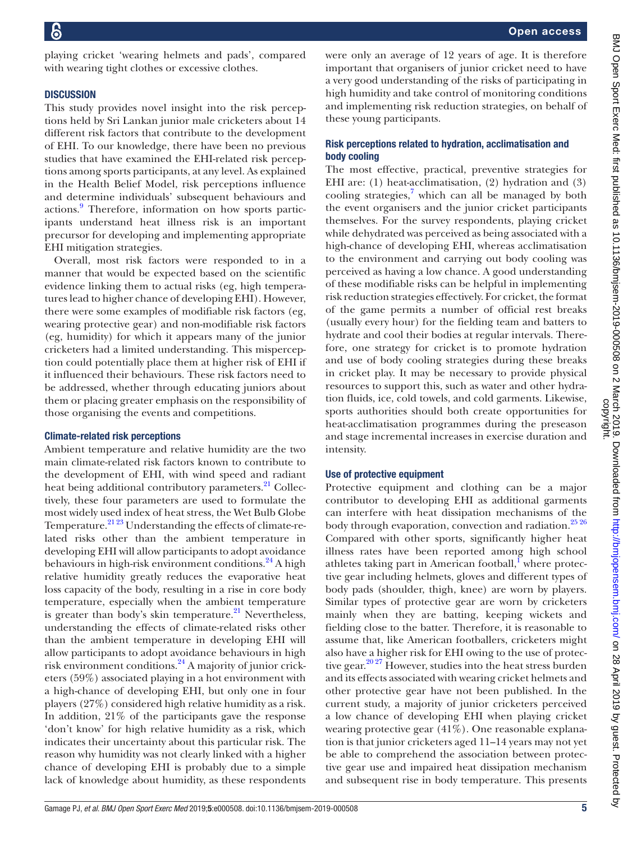with wearing tight clothes or excessive clothes. **DISCUSSION** This study provides novel insight into the risk perceptions held by Sri Lankan junior male cricketers about 14 different risk factors that contribute to the development of EHI. To our knowledge, there have been no previous studies that have examined the EHI-related risk perceptions among sports participants, at any level. As explained in the Health Belief Model, risk perceptions influence and determine individuals' subsequent behaviours and actions.<sup>9</sup> Therefore, information on how sports participants understand heat illness risk is an important precursor for developing and implementing appropriate EHI mitigation strategies. Overall, most risk factors were responded to in a manner that would be expected based on the scientific evidence linking them to actual risks (eg, high temperatures lead to higher chance of developing EHI). However, there were some examples of modifiable risk factors (eg, wearing protective gear) and non-modifiable risk factors (eg, humidity) for which it appears many of the junior cricketers had a limited understanding. This mispercepbody cooling

tion could potentially place them at higher risk of EHI if it influenced their behaviours. These risk factors need to be addressed, whether through educating juniors about them or placing greater emphasis on the responsibility of those organising the events and competitions.

playing cricket 'wearing helmets and pads', compared

### Climate-related risk perceptions

Ambient temperature and relative humidity are the two main climate-related risk factors known to contribute to the development of EHI, with wind speed and radiant heat being additional contributory parameters.<sup>21</sup> Collectively, these four parameters are used to formulate the most widely used index of heat stress, the Wet Bulb Globe Temperature.<sup>[21 23](#page-7-3)</sup> Understanding the effects of climate-related risks other than the ambient temperature in developing EHI will allow participants to adopt avoidance behaviours in high-risk environment conditions.<sup>[24](#page-7-5)</sup> A high relative humidity greatly reduces the evaporative heat loss capacity of the body, resulting in a rise in core body temperature, especially when the ambient temperature is greater than body's skin temperature. $21$  Nevertheless, understanding the effects of climate-related risks other than the ambient temperature in developing EHI will allow participants to adopt avoidance behaviours in high risk environment conditions.<sup>[24](#page-7-5)</sup> A majority of junior cricketers (59%) associated playing in a hot environment with a high-chance of developing EHI, but only one in four players (27%) considered high relative humidity as a risk. In addition, 21% of the participants gave the response 'don't know' for high relative humidity as a risk, which indicates their uncertainty about this particular risk. The reason why humidity was not clearly linked with a higher chance of developing EHI is probably due to a simple lack of knowledge about humidity, as these respondents

were only an average of 12 years of age. It is therefore important that organisers of junior cricket need to have a very good understanding of the risks of participating in high humidity and take control of monitoring conditions and implementing risk reduction strategies, on behalf of these young participants.

# Risk perceptions related to hydration, acclimatisation and

The most effective, practical, preventive strategies for EHI are: (1) heat-acclimatisation, (2) hydration and (3) cooling strategies, $7$  which can all be managed by both the event organisers and the junior cricket participants themselves. For the survey respondents, playing cricket while dehydrated was perceived as being associated with a high-chance of developing EHI, whereas acclimatisation to the environment and carrying out body cooling was perceived as having a low chance. A good understanding of these modifiable risks can be helpful in implementing risk reduction strategies effectively. For cricket, the format of the game permits a number of official rest breaks (usually every hour) for the fielding team and batters to hydrate and cool their bodies at regular intervals. Therefore, one strategy for cricket is to promote hydration and use of body cooling strategies during these breaks in cricket play. It may be necessary to provide physical resources to support this, such as water and other hydration fluids, ice, cold towels, and cold garments. Likewise, sports authorities should both create opportunities for heat-acclimatisation programmes during the preseason and stage incremental increases in exercise duration and intensity.

# Use of protective equipment

Protective equipment and clothing can be a major contributor to developing EHI as additional garments can interfere with heat dissipation mechanisms of the body through evaporation, convection and radiation.<sup>[25 26](#page-7-6)</sup> Compared with other sports, significantly higher heat illness rates have been reported among high school athletes taking part in American football,<sup>I</sup> where protective gear including helmets, gloves and different types of body pads (shoulder, thigh, knee) are worn by players. Similar types of protective gear are worn by cricketers mainly when they are batting, keeping wickets and fielding close to the batter. Therefore, it is reasonable to assume that, like American footballers, cricketers might also have a higher risk for EHI owing to the use of protective gear. $20\frac{20\frac{27}{27}}{20}$  However, studies into the heat stress burden and its effects associated with wearing cricket helmets and other protective gear have not been published. In the current study, a majority of junior cricketers perceived a low chance of developing EHI when playing cricket wearing protective gear (41%). One reasonable explanation is that junior cricketers aged 11–14 years may not yet be able to comprehend the association between protective gear use and impaired heat dissipation mechanism and subsequent rise in body temperature. This presents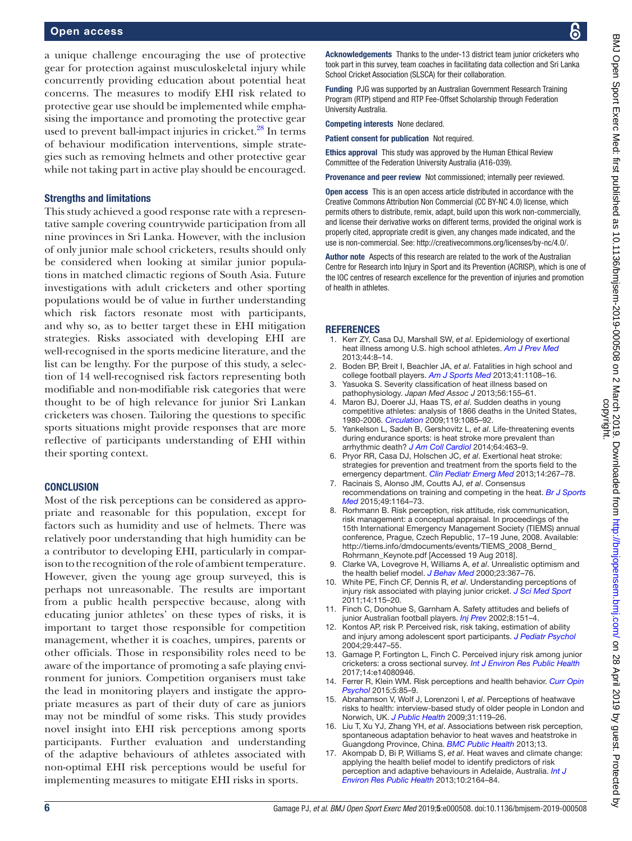a unique challenge encouraging the use of protective gear for protection against musculoskeletal injury while concurrently providing education about potential heat concerns. The measures to modify EHI risk related to protective gear use should be implemented while emphasising the importance and promoting the protective gear used to prevent ball-impact injuries in cricket.<sup>28</sup> In terms of behaviour modification interventions, simple strategies such as removing helmets and other protective gear while not taking part in active play should be encouraged.

#### Strengths and limitations

This study achieved a good response rate with a representative sample covering countrywide participation from all nine provinces in Sri Lanka. However, with the inclusion of only junior male school cricketers, results should only be considered when looking at similar junior populations in matched climactic regions of South Asia. Future investigations with adult cricketers and other sporting populations would be of value in further understanding which risk factors resonate most with participants, and why so, as to better target these in EHI mitigation strategies. Risks associated with developing EHI are well-recognised in the sports medicine literature, and the list can be lengthy. For the purpose of this study, a selection of 14 well-recognised risk factors representing both modifiable and non-modifiable risk categories that were thought to be of high relevance for junior Sri Lankan cricketers was chosen. Tailoring the questions to specific sports situations might provide responses that are more reflective of participants understanding of EHI within their sporting context.

### **CONCLUSION**

Most of the risk perceptions can be considered as appropriate and reasonable for this population, except for factors such as humidity and use of helmets. There was relatively poor understanding that high humidity can be a contributor to developing EHI, particularly in comparison to the recognition of the role of ambient temperature. However, given the young age group surveyed, this is perhaps not unreasonable. The results are important from a public health perspective because, along with educating junior athletes' on these types of risks, it is important to target those responsible for competition management, whether it is coaches, umpires, parents or other officials. Those in responsibility roles need to be aware of the importance of promoting a safe playing environment for juniors. Competition organisers must take the lead in monitoring players and instigate the appropriate measures as part of their duty of care as juniors may not be mindful of some risks. This study provides novel insight into EHI risk perceptions among sports participants. Further evaluation and understanding of the adaptive behaviours of athletes associated with non-optimal EHI risk perceptions would be useful for implementing measures to mitigate EHI risks in sports.

Acknowledgements Thanks to the under-13 district team junior cricketers who took part in this survey, team coaches in facilitating data collection and Sri Lanka School Cricket Association (SLSCA) for their collaboration.

Funding PJG was supported by an Australian Government Research Training Program (RTP) stipend and RTP Fee-Offset Scholarship through Federation University Australia.

Competing interests None declared.

Patient consent for publication Not required.

Ethics approval This study was approved by the Human Ethical Review Committee of the Federation University Australia (A16-039).

Provenance and peer review Not commissioned; internally peer reviewed.

Open access This is an open access article distributed in accordance with the Creative Commons Attribution Non Commercial (CC BY-NC 4.0) license, which permits others to distribute, remix, adapt, build upon this work non-commercially, and license their derivative works on different terms, provided the original work is properly cited, appropriate credit is given, any changes made indicated, and the use is non-commercial. See: <http://creativecommons.org/licenses/by-nc/4.0/>.

Author note Aspects of this research are related to the work of the Australian Centre for Research into Injury in Sport and its Prevention (ACRISP), which is one of the IOC centres of research excellence for the prevention of injuries and promotion of health in athletes.

#### **REFERENCES**

- <span id="page-6-0"></span>1. Kerr ZY, Casa DJ, Marshall SW, *et al*. Epidemiology of exertional heat illness among U.S. high school athletes. *[Am J Prev Med](http://dx.doi.org/10.1016/j.amepre.2012.09.058)* 2013;44:8–14.
- 2. Boden BP, Breit I, Beachler JA, *et al*. Fatalities in high school and college football players. *[Am J Sports Med](http://dx.doi.org/10.1177/0363546513478572)* 2013;41:1108–16.
- <span id="page-6-1"></span>Yasuoka S. Severity classification of heat illness based on pathophysiology. *Japan Med Assoc J* 2013;56:155–61.
- <span id="page-6-2"></span>4. Maron BJ, Doerer JJ, Haas TS, *et al*. Sudden deaths in young competitive athletes: analysis of 1866 deaths in the United States, 1980-2006. *[Circulation](http://dx.doi.org/10.1161/CIRCULATIONAHA.108.804617)* 2009;119:1085–92.
- 5. Yankelson L, Sadeh B, Gershovitz L, *et al*. Life-threatening events during endurance sports: is heat stroke more prevalent than arrhythmic death? *[J Am Coll Cardiol](http://dx.doi.org/10.1016/j.jacc.2014.05.025)* 2014;64:463–9.
- <span id="page-6-3"></span>6. Pryor RR, Casa DJ, Holschen JC, *et al*. Exertional heat stroke: strategies for prevention and treatment from the sports field to the emergency department. *[Clin Pediatr Emerg Med](http://dx.doi.org/10.1016/j.cpem.2013.10.005)* 2013;14:267–78.
- <span id="page-6-10"></span>7. Racinais S, Alonso JM, Coutts AJ, *et al*. Consensus recommendations on training and competing in the heat. *[Br J Sports](http://dx.doi.org/10.1136/bjsports-2015-094915)  [Med](http://dx.doi.org/10.1136/bjsports-2015-094915)* 2015;49:1164–73.
- <span id="page-6-4"></span>8. Rorhmann B. Risk perception, risk attitude, risk communication, risk management: a conceptual appraisal. In proceedings of the 15th International Emergency Management Society (TIEMS) annual conference, Prague, Czech Republic, 17–19 June, 2008. Available: [http://tiems.info/dmdocuments/events/TIEMS\\_2008\\_Bernd\\_](http://tiems.info/dmdocuments/events/TIEMS_2008_Bernd_Rohrmann_Keynote.pdf) [Rohrmann\\_Keynote.pdf](http://tiems.info/dmdocuments/events/TIEMS_2008_Bernd_Rohrmann_Keynote.pdf) [Accessed 19 Aug 2018].
- <span id="page-6-5"></span>9. Clarke VA, Lovegrove H, Williams A, *et al*. Unrealistic optimism and the health belief model. *[J Behav Med](http://dx.doi.org/10.1023/A:1005500917875)* 2000;23:367–76.
- <span id="page-6-6"></span>10. White PE, Finch CF, Dennis R, *et al*. Understanding perceptions of injury risk associated with playing junior cricket. *[J Sci Med Sport](http://dx.doi.org/10.1016/j.jsams.2010.06.001)* 2011;14:115–20.
- 11. Finch C, Donohue S, Garnham A. Safety attitudes and beliefs of junior Australian football players. *[Inj Prev](http://dx.doi.org/10.1136/ip.8.2.151)* 2002;8:151–4.
- Kontos AP, risk P. Perceived risk, risk taking, estimation of ability and injury among adolescent sport participants. *[J Pediatr Psychol](http://dx.doi.org/10.1093/jpepsy/jsh048)* 2004;29:447–55.
- <span id="page-6-9"></span>13. Gamage P, Fortington L, Finch C. Perceived injury risk among junior cricketers: a cross sectional survey. *[Int J Environ Res Public Health](http://dx.doi.org/10.3390/ijerph14080946)* 2017;14:e14080946.
- <span id="page-6-7"></span>14. Ferrer R, Klein WM. Risk perceptions and health behavior. *[Curr Opin](http://dx.doi.org/10.1016/j.copsyc.2015.03.012)  [Psychol](http://dx.doi.org/10.1016/j.copsyc.2015.03.012)* 2015;5:85–9.
- <span id="page-6-8"></span>15. Abrahamson V, Wolf J, Lorenzoni I, *et al*. Perceptions of heatwave risks to health: interview-based study of older people in London and Norwich, UK. *[J Public Health](http://dx.doi.org/10.1093/pubmed/fdn102)* 2009;31:119–26.
- 16. Liu T, Xu YJ, Zhang YH, *et al*. Associations between risk perception, spontaneous adaptation behavior to heat waves and heatstroke in Guangdong Province, China. *[BMC Public Health](http://dx.doi.org/10.1186/1471-2458-13-913)* 2013;13.
- 17. Akompab D, Bi P, Williams S, *et al*. Heat waves and climate change: applying the health belief model to identify predictors of risk perception and adaptive behaviours in Adelaide, Australia. *[Int J](http://dx.doi.org/10.3390/ijerph10062164)  [Environ Res Public Health](http://dx.doi.org/10.3390/ijerph10062164)* 2013;10:2164–84.